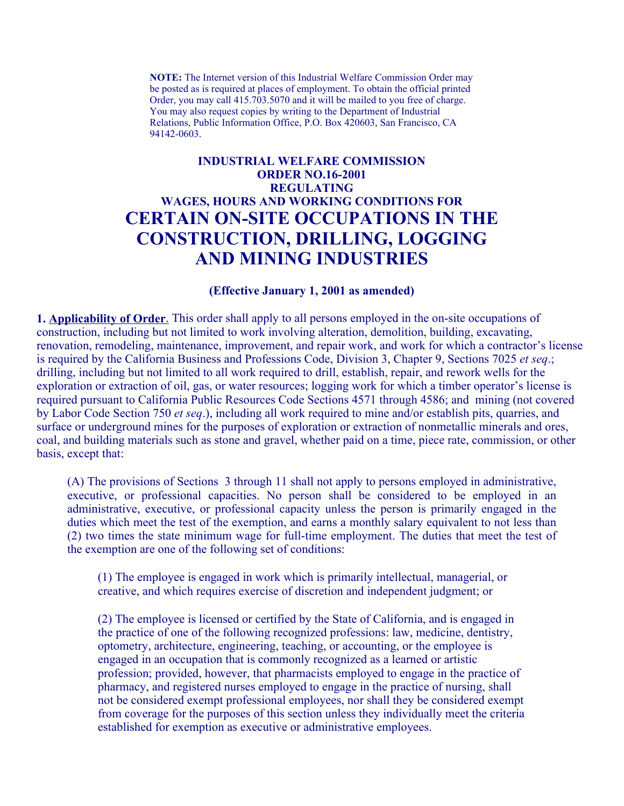**NOTE:** The Internet version of this Industrial Welfare Commission Order may You may also request copies by writing to the Department of Industrial be posted as is required at places of employment. To obtain the official printed Order, you may call 415.703.5070 and it will be mailed to you free of charge. Relations, Public Information Office, P.O. Box 420603, San Francisco, CA 94142-0603.

# **REGULATING INDUSTRIAL WELFARE COMMISSION ORDER NO.16-2001 WAGES, HOURS AND WORKING CONDITIONS FOR CERTAIN ON-SITE OCCUPATIONS IN THE CONSTRUCTION, DRILLING, LOGGING AND MINING INDUSTRIES**

#### **(Effective January 1, 2001 as amended)**

**1. Applicability of Order**. This order shall apply to all persons employed in the on-site occupations of construction, including but not limited to work involving alteration, demolition, building, excavating, renovation, remodeling, maintenance, improvement, and repair work, and work for which a contractor's license is required by the California Business and Professions Code, Division 3, Chapter 9, Sections 7025 *et seq*.; drilling, including but not limited to all work required to drill, establish, repair, and rework wells for the exploration or extraction of oil, gas, or water resources; logging work for which a timber operator's license is required pursuant to California Public Resources Code Sections 4571 through 4586; and mining (not covered by Labor Code Section 750 *et seq*.), including all work required to mine and/or establish pits, quarries, and surface or underground mines for the purposes of exploration or extraction of nonmetallic minerals and ores, coal, and building materials such as stone and gravel, whether paid on a time, piece rate, commission, or other basis, except that:

(A) The provisions of Sections 3 through 11 shall not apply to persons employed in administrative, executive, or professional capacities. No person shall be considered to be employed in an administrative, executive, or professional capacity unless the person is primarily engaged in the duties which meet the test of the exemption, and earns a monthly salary equivalent to not less than (2) two times the state minimum wage for full-time employment. The duties that meet the test of the exemption are one of the following set of conditions:

(1) The employee is engaged in work which is primarily intellectual, managerial, or creative, and which requires exercise of discretion and independent judgment; or

(2) The employee is licensed or certified by the State of California, and is engaged in the practice of one of the following recognized professions: law, medicine, dentistry, optometry, architecture, engineering, teaching, or accounting, or the employee is engaged in an occupation that is commonly recognized as a learned or artistic profession; provided, however, that pharmacists employed to engage in the practice of pharmacy, and registered nurses employed to engage in the practice of nursing, shall not be considered exempt professional employees, nor shall they be considered exempt from coverage for the purposes of this section unless they individually meet the criteria established for exemption as executive or administrative employees.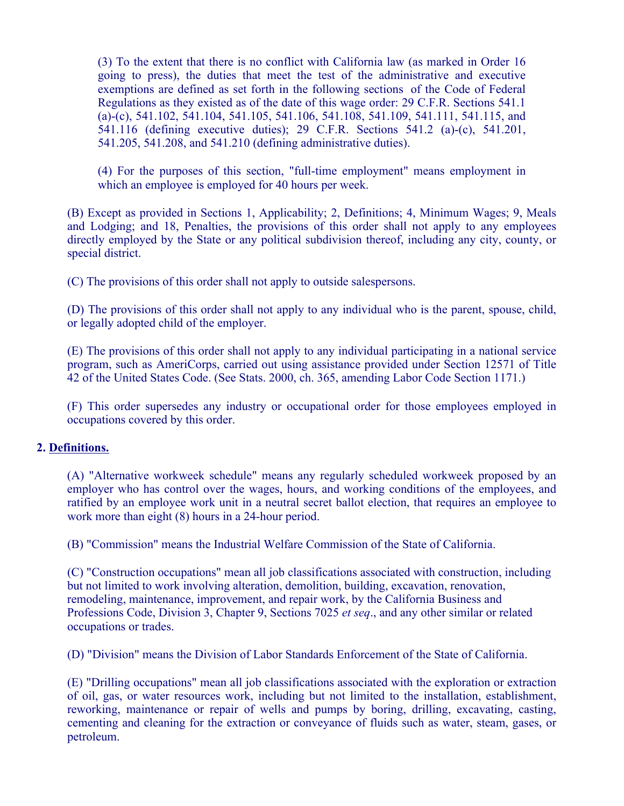(3) To the extent that there is no conflict with California law (as marked in Order 16 going to press), the duties that meet the test of the administrative and executive exemptions are defined as set forth in the following sections of the Code of Federal Regulations as they existed as of the date of this wage order: 29 C.F.R. Sections 541.1 (a)-(c), 541.102, 541.104, 541.105, 541.106, 541.108, 541.109, 541.111, 541.115, and 541.116 (defining executive duties); 29 C.F.R. Sections 541.2 (a)-(c), 541.201, 541.205, 541.208, and 541.210 (defining administrative duties).

(4) For the purposes of this section, "full-time employment" means employment in which an employee is employed for 40 hours per week.

(B) Except as provided in Sections 1, Applicability; 2, Definitions; 4, Minimum Wages; 9, Meals and Lodging; and 18, Penalties, the provisions of this order shall not apply to any employees directly employed by the State or any political subdivision thereof, including any city, county, or special district.

(C) The provisions of this order shall not apply to outside salespersons.

(D) The provisions of this order shall not apply to any individual who is the parent, spouse, child, or legally adopted child of the employer.

(E) The provisions of this order shall not apply to any individual participating in a national service program, such as AmeriCorps, carried out using assistance provided under Section 12571 of Title 42 of the United States Code. (See Stats. 2000, ch. 365, amending Labor Code Section 1171.)

(F) This order supersedes any industry or occupational order for those employees employed in occupations covered by this order.

## **2. Definitions.**

(A) "Alternative workweek schedule" means any regularly scheduled workweek proposed by an employer who has control over the wages, hours, and working conditions of the employees, and ratified by an employee work unit in a neutral secret ballot election, that requires an employee to work more than eight (8) hours in a 24-hour period.

(B) "Commission" means the Industrial Welfare Commission of the State of California.

(C) "Construction occupations" mean all job classifications associated with construction, including but not limited to work involving alteration, demolition, building, excavation, renovation, remodeling, maintenance, improvement, and repair work, by the California Business and Professions Code, Division 3, Chapter 9, Sections 7025 *et seq*., and any other similar or related occupations or trades.

(D) "Division" means the Division of Labor Standards Enforcement of the State of California.

(E) "Drilling occupations" mean all job classifications associated with the exploration or extraction of oil, gas, or water resources work, including but not limited to the installation, establishment, reworking, maintenance or repair of wells and pumps by boring, drilling, excavating, casting, cementing and cleaning for the extraction or conveyance of fluids such as water, steam, gases, or petroleum.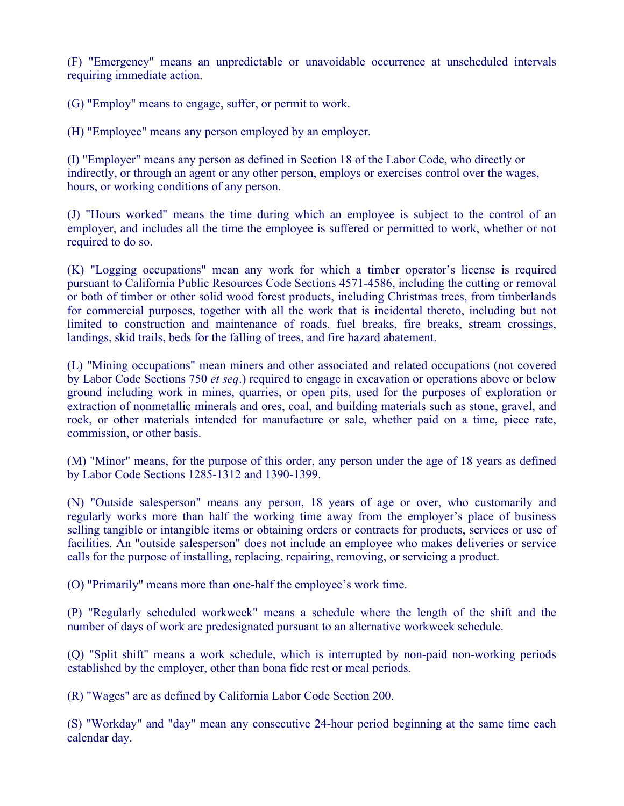(F) "Emergency" means an unpredictable or unavoidable occurrence at unscheduled intervals requiring immediate action.

(G) "Employ" means to engage, suffer, or permit to work.

(H) "Employee" means any person employed by an employer.

(I) "Employer" means any person as defined in Section 18 of the Labor Code, who directly or indirectly, or through an agent or any other person, employs or exercises control over the wages, hours, or working conditions of any person.

(J) "Hours worked" means the time during which an employee is subject to the control of an employer, and includes all the time the employee is suffered or permitted to work, whether or not required to do so.

(K) "Logging occupations" mean any work for which a timber operator's license is required pursuant to California Public Resources Code Sections 4571-4586, including the cutting or removal or both of timber or other solid wood forest products, including Christmas trees, from timberlands for commercial purposes, together with all the work that is incidental thereto, including but not limited to construction and maintenance of roads, fuel breaks, fire breaks, stream crossings, landings, skid trails, beds for the falling of trees, and fire hazard abatement.

(L) "Mining occupations" mean miners and other associated and related occupations (not covered by Labor Code Sections 750 *et seq*.) required to engage in excavation or operations above or below ground including work in mines, quarries, or open pits, used for the purposes of exploration or extraction of nonmetallic minerals and ores, coal, and building materials such as stone, gravel, and rock, or other materials intended for manufacture or sale, whether paid on a time, piece rate, commission, or other basis.

(M) "Minor" means, for the purpose of this order, any person under the age of 18 years as defined by Labor Code Sections 1285-1312 and 1390-1399.

(N) "Outside salesperson" means any person, 18 years of age or over, who customarily and regularly works more than half the working time away from the employer's place of business selling tangible or intangible items or obtaining orders or contracts for products, services or use of facilities. An "outside salesperson" does not include an employee who makes deliveries or service calls for the purpose of installing, replacing, repairing, removing, or servicing a product.

(O) "Primarily" means more than one-half the employee's work time.

(P) "Regularly scheduled workweek" means a schedule where the length of the shift and the number of days of work are predesignated pursuant to an alternative workweek schedule.

(Q) "Split shift" means a work schedule, which is interrupted by non-paid non-working periods established by the employer, other than bona fide rest or meal periods.

(R) "Wages" are as defined by California Labor Code Section 200.

(S) "Workday" and "day" mean any consecutive 24-hour period beginning at the same time each calendar day.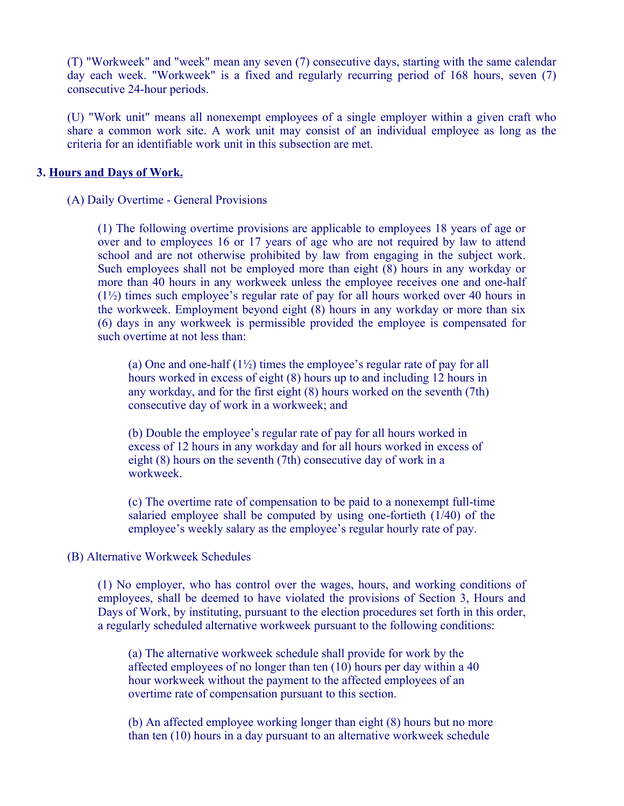(T) "Workweek" and "week" mean any seven (7) consecutive days, starting with the same calendar day each week. "Workweek" is a fixed and regularly recurring period of 168 hours, seven (7) consecutive 24-hour periods.

(U) "Work unit" means all nonexempt employees of a single employer within a given craft who share a common work site. A work unit may consist of an individual employee as long as the criteria for an identifiable work unit in this subsection are met.

#### **3. Hours and Days of Work.**

(A) Daily Overtime - General Provisions

(1) The following overtime provisions are applicable to employees 18 years of age or over and to employees 16 or 17 years of age who are not required by law to attend school and are not otherwise prohibited by law from engaging in the subject work. Such employees shall not be employed more than eight (8) hours in any workday or more than 40 hours in any workweek unless the employee receives one and one-half  $(1\frac{1}{2})$  times such employee's regular rate of pay for all hours worked over 40 hours in the workweek. Employment beyond eight (8) hours in any workday or more than six (6) days in any workweek is permissible provided the employee is compensated for such overtime at not less than:

(a) One and one-half  $(1\frac{1}{2})$  times the employee's regular rate of pay for all hours worked in excess of eight (8) hours up to and including 12 hours in any workday, and for the first eight (8) hours worked on the seventh (7th) consecutive day of work in a workweek; and

(b) Double the employee's regular rate of pay for all hours worked in excess of 12 hours in any workday and for all hours worked in excess of eight (8) hours on the seventh (7th) consecutive day of work in a workweek.

(c) The overtime rate of compensation to be paid to a nonexempt full-time salaried employee shall be computed by using one-fortieth (1/40) of the employee's weekly salary as the employee's regular hourly rate of pay.

(B) Alternative Workweek Schedules

(1) No employer, who has control over the wages, hours, and working conditions of employees, shall be deemed to have violated the provisions of Section 3, Hours and Days of Work, by instituting, pursuant to the election procedures set forth in this order, a regularly scheduled alternative workweek pursuant to the following conditions:

(a) The alternative workweek schedule shall provide for work by the affected employees of no longer than ten (10) hours per day within a 40 hour workweek without the payment to the affected employees of an overtime rate of compensation pursuant to this section.

(b) An affected employee working longer than eight (8) hours but no more than ten (10) hours in a day pursuant to an alternative workweek schedule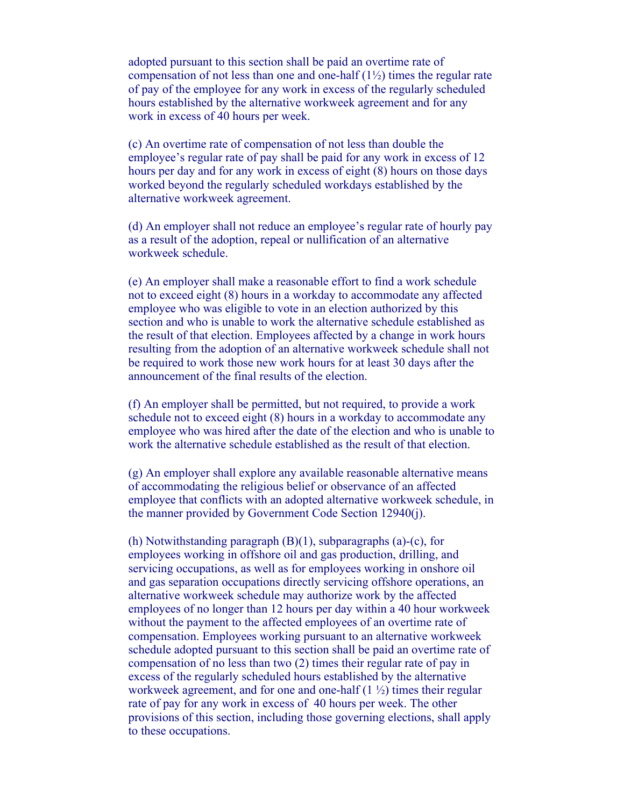adopted pursuant to this section shall be paid an overtime rate of compensation of not less than one and one-half  $(1\frac{1}{2})$  times the regular rate of pay of the employee for any work in excess of the regularly scheduled hours established by the alternative workweek agreement and for any work in excess of 40 hours per week.

(c) An overtime rate of compensation of not less than double the employee's regular rate of pay shall be paid for any work in excess of 12 hours per day and for any work in excess of eight (8) hours on those days worked beyond the regularly scheduled workdays established by the alternative workweek agreement.

(d) An employer shall not reduce an employee's regular rate of hourly pay as a result of the adoption, repeal or nullification of an alternative workweek schedule.

(e) An employer shall make a reasonable effort to find a work schedule not to exceed eight (8) hours in a workday to accommodate any affected employee who was eligible to vote in an election authorized by this section and who is unable to work the alternative schedule established as the result of that election. Employees affected by a change in work hours resulting from the adoption of an alternative workweek schedule shall not be required to work those new work hours for at least 30 days after the announcement of the final results of the election.

(f) An employer shall be permitted, but not required, to provide a work schedule not to exceed eight (8) hours in a workday to accommodate any employee who was hired after the date of the election and who is unable to work the alternative schedule established as the result of that election.

(g) An employer shall explore any available reasonable alternative means of accommodating the religious belief or observance of an affected employee that conflicts with an adopted alternative workweek schedule, in the manner provided by Government Code Section 12940(j).

(h) Notwithstanding paragraph  $(B)(1)$ , subparagraphs (a)-(c), for employees working in offshore oil and gas production, drilling, and servicing occupations, as well as for employees working in onshore oil and gas separation occupations directly servicing offshore operations, an alternative workweek schedule may authorize work by the affected employees of no longer than 12 hours per day within a 40 hour workweek without the payment to the affected employees of an overtime rate of compensation. Employees working pursuant to an alternative workweek schedule adopted pursuant to this section shall be paid an overtime rate of compensation of no less than two (2) times their regular rate of pay in excess of the regularly scheduled hours established by the alternative workweek agreement, and for one and one-half  $(1 \frac{1}{2})$  times their regular rate of pay for any work in excess of 40 hours per week. The other provisions of this section, including those governing elections, shall apply to these occupations.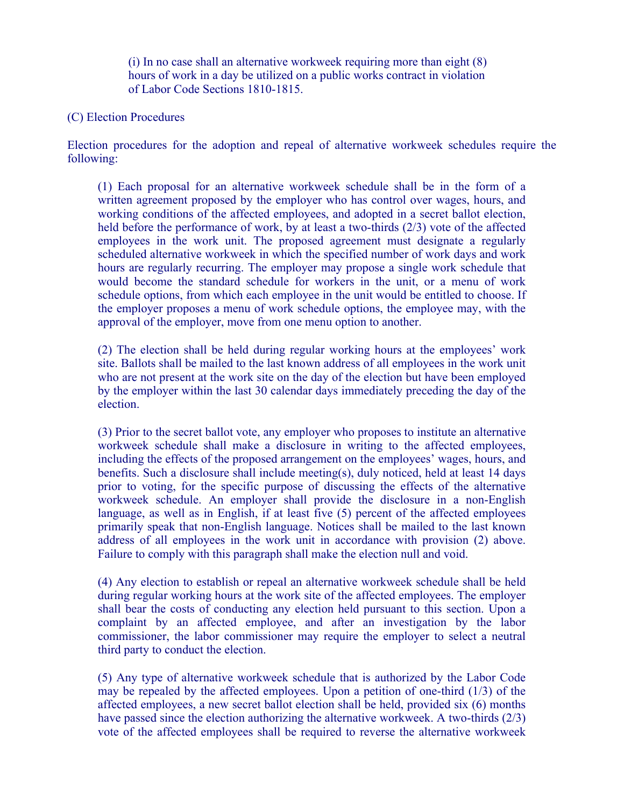(i) In no case shall an alternative workweek requiring more than eight (8) hours of work in a day be utilized on a public works contract in violation of Labor Code Sections 1810-1815.

### (C) Election Procedures

Election procedures for the adoption and repeal of alternative workweek schedules require the following:

(1) Each proposal for an alternative workweek schedule shall be in the form of a written agreement proposed by the employer who has control over wages, hours, and working conditions of the affected employees, and adopted in a secret ballot election, held before the performance of work, by at least a two-thirds (2/3) vote of the affected employees in the work unit. The proposed agreement must designate a regularly scheduled alternative workweek in which the specified number of work days and work hours are regularly recurring. The employer may propose a single work schedule that would become the standard schedule for workers in the unit, or a menu of work schedule options, from which each employee in the unit would be entitled to choose. If the employer proposes a menu of work schedule options, the employee may, with the approval of the employer, move from one menu option to another.

(2) The election shall be held during regular working hours at the employees' work site. Ballots shall be mailed to the last known address of all employees in the work unit who are not present at the work site on the day of the election but have been employed by the employer within the last 30 calendar days immediately preceding the day of the election.

(3) Prior to the secret ballot vote, any employer who proposes to institute an alternative workweek schedule shall make a disclosure in writing to the affected employees, including the effects of the proposed arrangement on the employees' wages, hours, and benefits. Such a disclosure shall include meeting(s), duly noticed, held at least 14 days prior to voting, for the specific purpose of discussing the effects of the alternative workweek schedule. An employer shall provide the disclosure in a non-English language, as well as in English, if at least five (5) percent of the affected employees primarily speak that non-English language. Notices shall be mailed to the last known address of all employees in the work unit in accordance with provision (2) above. Failure to comply with this paragraph shall make the election null and void.

(4) Any election to establish or repeal an alternative workweek schedule shall be held during regular working hours at the work site of the affected employees. The employer shall bear the costs of conducting any election held pursuant to this section. Upon a complaint by an affected employee, and after an investigation by the labor commissioner, the labor commissioner may require the employer to select a neutral third party to conduct the election.

(5) Any type of alternative workweek schedule that is authorized by the Labor Code may be repealed by the affected employees. Upon a petition of one-third (1/3) of the affected employees, a new secret ballot election shall be held, provided six (6) months have passed since the election authorizing the alternative workweek. A two-thirds (2/3) vote of the affected employees shall be required to reverse the alternative workweek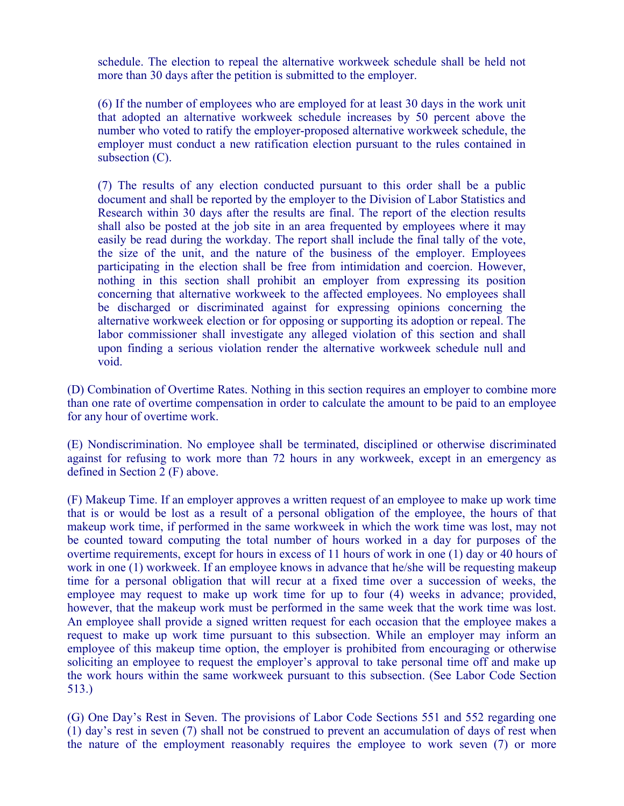schedule. The election to repeal the alternative workweek schedule shall be held not more than 30 days after the petition is submitted to the employer.

(6) If the number of employees who are employed for at least 30 days in the work unit that adopted an alternative workweek schedule increases by 50 percent above the number who voted to ratify the employer-proposed alternative workweek schedule, the employer must conduct a new ratification election pursuant to the rules contained in subsection (C).

(7) The results of any election conducted pursuant to this order shall be a public document and shall be reported by the employer to the Division of Labor Statistics and Research within 30 days after the results are final. The report of the election results shall also be posted at the job site in an area frequented by employees where it may easily be read during the workday. The report shall include the final tally of the vote, the size of the unit, and the nature of the business of the employer. Employees participating in the election shall be free from intimidation and coercion. However, nothing in this section shall prohibit an employer from expressing its position concerning that alternative workweek to the affected employees. No employees shall be discharged or discriminated against for expressing opinions concerning the alternative workweek election or for opposing or supporting its adoption or repeal. The labor commissioner shall investigate any alleged violation of this section and shall upon finding a serious violation render the alternative workweek schedule null and void.

(D) Combination of Overtime Rates. Nothing in this section requires an employer to combine more than one rate of overtime compensation in order to calculate the amount to be paid to an employee for any hour of overtime work.

(E) Nondiscrimination. No employee shall be terminated, disciplined or otherwise discriminated against for refusing to work more than 72 hours in any workweek, except in an emergency as defined in Section 2 (F) above.

(F) Makeup Time. If an employer approves a written request of an employee to make up work time that is or would be lost as a result of a personal obligation of the employee, the hours of that makeup work time, if performed in the same workweek in which the work time was lost, may not be counted toward computing the total number of hours worked in a day for purposes of the overtime requirements, except for hours in excess of 11 hours of work in one (1) day or 40 hours of work in one (1) workweek. If an employee knows in advance that he/she will be requesting makeup time for a personal obligation that will recur at a fixed time over a succession of weeks, the employee may request to make up work time for up to four (4) weeks in advance; provided, however, that the makeup work must be performed in the same week that the work time was lost. An employee shall provide a signed written request for each occasion that the employee makes a request to make up work time pursuant to this subsection. While an employer may inform an employee of this makeup time option, the employer is prohibited from encouraging or otherwise soliciting an employee to request the employer's approval to take personal time off and make up the work hours within the same workweek pursuant to this subsection. (See Labor Code Section 513.)

(G) One Day's Rest in Seven. The provisions of Labor Code Sections 551 and 552 regarding one (1) day's rest in seven (7) shall not be construed to prevent an accumulation of days of rest when the nature of the employment reasonably requires the employee to work seven (7) or more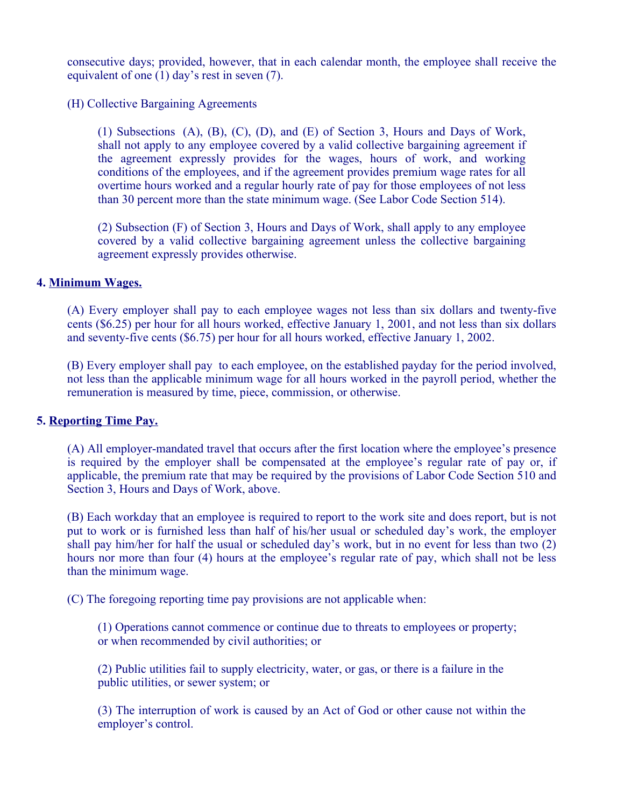consecutive days; provided, however, that in each calendar month, the employee shall receive the equivalent of one (1) day's rest in seven (7).

(H) Collective Bargaining Agreements

(1) Subsections (A), (B), (C), (D), and (E) of Section 3, Hours and Days of Work, shall not apply to any employee covered by a valid collective bargaining agreement if the agreement expressly provides for the wages, hours of work, and working conditions of the employees, and if the agreement provides premium wage rates for all overtime hours worked and a regular hourly rate of pay for those employees of not less than 30 percent more than the state minimum wage. (See Labor Code Section 514).

(2) Subsection (F) of Section 3, Hours and Days of Work, shall apply to any employee covered by a valid collective bargaining agreement unless the collective bargaining agreement expressly provides otherwise.

## **4. Minimum Wages.**

(A) Every employer shall pay to each employee wages not less than six dollars and twenty-five cents (\$6.25) per hour for all hours worked, effective January 1, 2001, and not less than six dollars and seventy-five cents (\$6.75) per hour for all hours worked, effective January 1, 2002.

(B) Every employer shall pay to each employee, on the established payday for the period involved, not less than the applicable minimum wage for all hours worked in the payroll period, whether the remuneration is measured by time, piece, commission, or otherwise.

#### **5. Reporting Time Pay.**

(A) All employer-mandated travel that occurs after the first location where the employee's presence is required by the employer shall be compensated at the employee's regular rate of pay or, if applicable, the premium rate that may be required by the provisions of Labor Code Section 510 and Section 3, Hours and Days of Work, above.

(B) Each workday that an employee is required to report to the work site and does report, but is not put to work or is furnished less than half of his/her usual or scheduled day's work, the employer shall pay him/her for half the usual or scheduled day's work, but in no event for less than two (2) hours nor more than four (4) hours at the employee's regular rate of pay, which shall not be less than the minimum wage.

(C) The foregoing reporting time pay provisions are not applicable when:

(1) Operations cannot commence or continue due to threats to employees or property; or when recommended by civil authorities; or

(2) Public utilities fail to supply electricity, water, or gas, or there is a failure in the public utilities, or sewer system; or

(3) The interruption of work is caused by an Act of God or other cause not within the employer's control.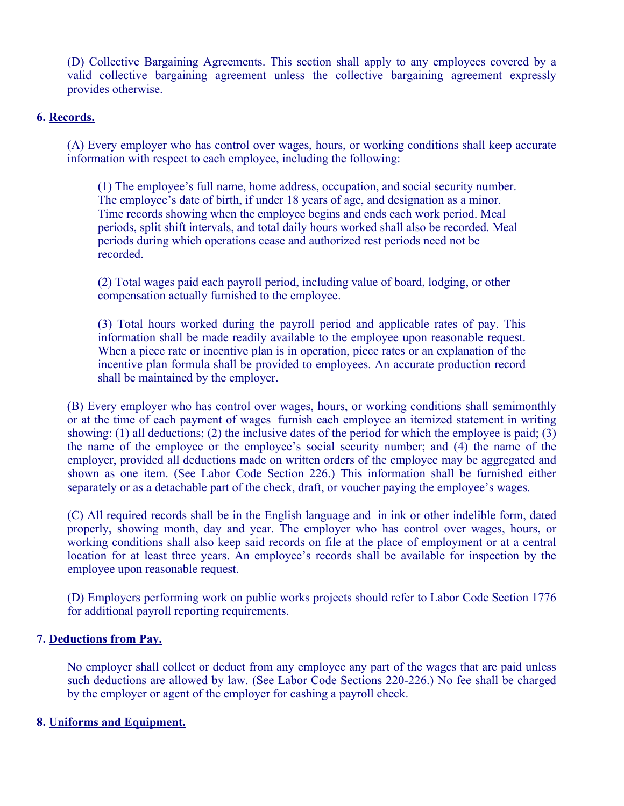(D) Collective Bargaining Agreements. This section shall apply to any employees covered by a valid collective bargaining agreement unless the collective bargaining agreement expressly provides otherwise.

## **6. Records.**

(A) Every employer who has control over wages, hours, or working conditions shall keep accurate information with respect to each employee, including the following:

(1) The employee's full name, home address, occupation, and social security number. The employee's date of birth, if under 18 years of age, and designation as a minor. Time records showing when the employee begins and ends each work period. Meal periods, split shift intervals, and total daily hours worked shall also be recorded. Meal periods during which operations cease and authorized rest periods need not be recorded.

(2) Total wages paid each payroll period, including value of board, lodging, or other compensation actually furnished to the employee.

(3) Total hours worked during the payroll period and applicable rates of pay. This information shall be made readily available to the employee upon reasonable request. When a piece rate or incentive plan is in operation, piece rates or an explanation of the incentive plan formula shall be provided to employees. An accurate production record shall be maintained by the employer.

(B) Every employer who has control over wages, hours, or working conditions shall semimonthly or at the time of each payment of wages furnish each employee an itemized statement in writing showing: (1) all deductions; (2) the inclusive dates of the period for which the employee is paid; (3) the name of the employee or the employee's social security number; and (4) the name of the employer, provided all deductions made on written orders of the employee may be aggregated and shown as one item. (See Labor Code Section 226.) This information shall be furnished either separately or as a detachable part of the check, draft, or voucher paying the employee's wages.

(C) All required records shall be in the English language and in ink or other indelible form, dated properly, showing month, day and year. The employer who has control over wages, hours, or working conditions shall also keep said records on file at the place of employment or at a central location for at least three years. An employee's records shall be available for inspection by the employee upon reasonable request.

(D) Employers performing work on public works projects should refer to Labor Code Section 1776 for additional payroll reporting requirements.

## **7. Deductions from Pay.**

No employer shall collect or deduct from any employee any part of the wages that are paid unless such deductions are allowed by law. (See Labor Code Sections 220-226.) No fee shall be charged by the employer or agent of the employer for cashing a payroll check.

## **8. Uniforms and Equipment.**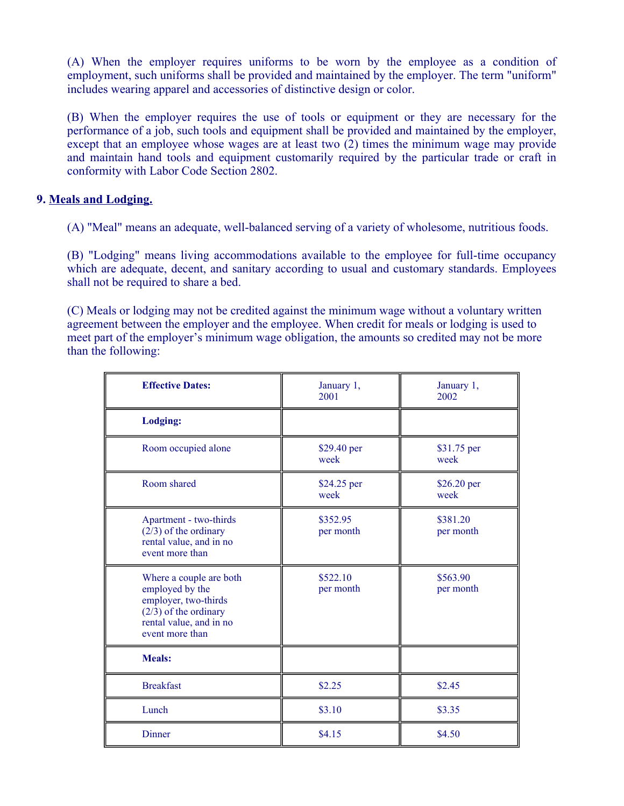(A) When the employer requires uniforms to be worn by the employee as a condition of employment, such uniforms shall be provided and maintained by the employer. The term "uniform" includes wearing apparel and accessories of distinctive design or color.

(B) When the employer requires the use of tools or equipment or they are necessary for the performance of a job, such tools and equipment shall be provided and maintained by the employer, except that an employee whose wages are at least two (2) times the minimum wage may provide and maintain hand tools and equipment customarily required by the particular trade or craft in conformity with Labor Code Section 2802.

## **9. Meals and Lodging.**

(A) "Meal" means an adequate, well-balanced serving of a variety of wholesome, nutritious foods.

(B) "Lodging" means living accommodations available to the employee for full-time occupancy which are adequate, decent, and sanitary according to usual and customary standards. Employees shall not be required to share a bed.

(C) Meals or lodging may not be credited against the minimum wage without a voluntary written agreement between the employer and the employee. When credit for meals or lodging is used to meet part of the employer's minimum wage obligation, the amounts so credited may not be more than the following:

| <b>Effective Dates:</b>                                                                                                                     | January 1,<br>2001    | January 1,<br>2002    |
|---------------------------------------------------------------------------------------------------------------------------------------------|-----------------------|-----------------------|
| Lodging:                                                                                                                                    |                       |                       |
| Room occupied alone                                                                                                                         | \$29.40 per<br>week   | \$31.75 per<br>week   |
| Room shared                                                                                                                                 | \$24.25 per<br>week   | \$26.20 per<br>week   |
| Apartment - two-thirds<br>$(2/3)$ of the ordinary<br>rental value, and in no<br>event more than                                             | \$352.95<br>per month | \$381.20<br>per month |
| Where a couple are both<br>employed by the<br>employer, two-thirds<br>$(2/3)$ of the ordinary<br>rental value, and in no<br>event more than | \$522.10<br>per month | \$563.90<br>per month |
| <b>Meals:</b>                                                                                                                               |                       |                       |
| <b>Breakfast</b>                                                                                                                            | \$2.25                | \$2.45                |
| Lunch                                                                                                                                       | \$3.10                | \$3.35                |
| <b>Dinner</b>                                                                                                                               | \$4.15                | \$4.50                |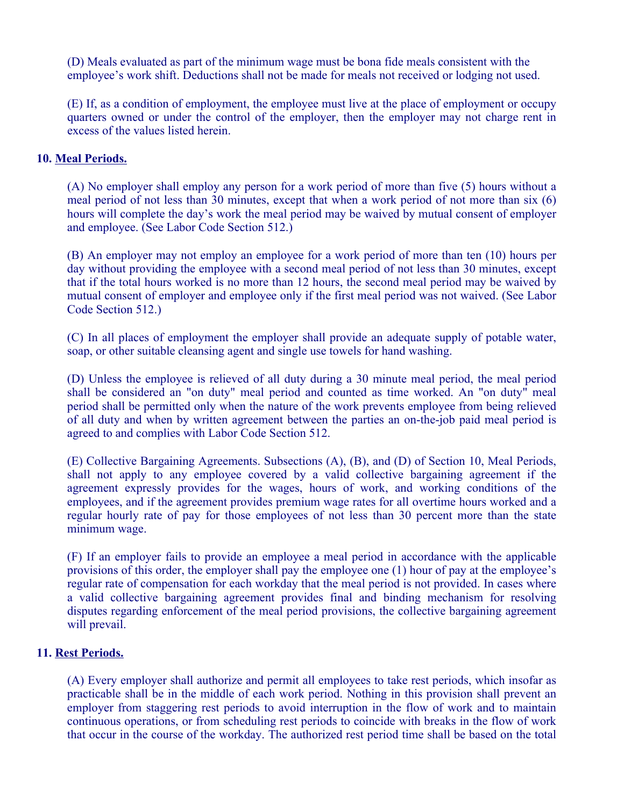(D) Meals evaluated as part of the minimum wage must be bona fide meals consistent with the employee's work shift. Deductions shall not be made for meals not received or lodging not used.

(E) If, as a condition of employment, the employee must live at the place of employment or occupy quarters owned or under the control of the employer, then the employer may not charge rent in excess of the values listed herein.

## **10. Meal Periods.**

(A) No employer shall employ any person for a work period of more than five (5) hours without a meal period of not less than 30 minutes, except that when a work period of not more than six (6) hours will complete the day's work the meal period may be waived by mutual consent of employer and employee. (See Labor Code Section 512.)

(B) An employer may not employ an employee for a work period of more than ten (10) hours per day without providing the employee with a second meal period of not less than 30 minutes, except that if the total hours worked is no more than 12 hours, the second meal period may be waived by mutual consent of employer and employee only if the first meal period was not waived. (See Labor Code Section 512.)

(C) In all places of employment the employer shall provide an adequate supply of potable water, soap, or other suitable cleansing agent and single use towels for hand washing.

(D) Unless the employee is relieved of all duty during a 30 minute meal period, the meal period shall be considered an "on duty" meal period and counted as time worked. An "on duty" meal period shall be permitted only when the nature of the work prevents employee from being relieved of all duty and when by written agreement between the parties an on-the-job paid meal period is agreed to and complies with Labor Code Section 512.

(E) Collective Bargaining Agreements. Subsections (A), (B), and (D) of Section 10, Meal Periods, shall not apply to any employee covered by a valid collective bargaining agreement if the agreement expressly provides for the wages, hours of work, and working conditions of the employees, and if the agreement provides premium wage rates for all overtime hours worked and a regular hourly rate of pay for those employees of not less than 30 percent more than the state minimum wage.

(F) If an employer fails to provide an employee a meal period in accordance with the applicable provisions of this order, the employer shall pay the employee one (1) hour of pay at the employee's regular rate of compensation for each workday that the meal period is not provided. In cases where a valid collective bargaining agreement provides final and binding mechanism for resolving disputes regarding enforcement of the meal period provisions, the collective bargaining agreement will prevail.

## **11. Rest Periods.**

(A) Every employer shall authorize and permit all employees to take rest periods, which insofar as practicable shall be in the middle of each work period. Nothing in this provision shall prevent an employer from staggering rest periods to avoid interruption in the flow of work and to maintain continuous operations, or from scheduling rest periods to coincide with breaks in the flow of work that occur in the course of the workday. The authorized rest period time shall be based on the total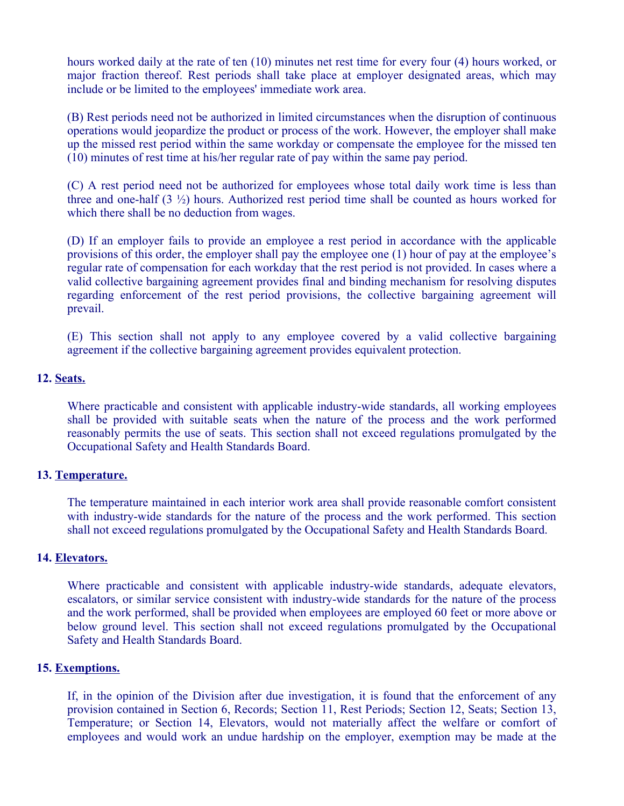hours worked daily at the rate of ten (10) minutes net rest time for every four (4) hours worked, or major fraction thereof. Rest periods shall take place at employer designated areas, which may include or be limited to the employees' immediate work area.

(B) Rest periods need not be authorized in limited circumstances when the disruption of continuous operations would jeopardize the product or process of the work. However, the employer shall make up the missed rest period within the same workday or compensate the employee for the missed ten (10) minutes of rest time at his/her regular rate of pay within the same pay period.

(C) A rest period need not be authorized for employees whose total daily work time is less than three and one-half (3 ½) hours. Authorized rest period time shall be counted as hours worked for which there shall be no deduction from wages.

(D) If an employer fails to provide an employee a rest period in accordance with the applicable provisions of this order, the employer shall pay the employee one (1) hour of pay at the employee's regular rate of compensation for each workday that the rest period is not provided. In cases where a valid collective bargaining agreement provides final and binding mechanism for resolving disputes regarding enforcement of the rest period provisions, the collective bargaining agreement will prevail.

(E) This section shall not apply to any employee covered by a valid collective bargaining agreement if the collective bargaining agreement provides equivalent protection.

## **12. Seats.**

Where practicable and consistent with applicable industry-wide standards, all working employees shall be provided with suitable seats when the nature of the process and the work performed reasonably permits the use of seats. This section shall not exceed regulations promulgated by the Occupational Safety and Health Standards Board.

## **13. Temperature.**

The temperature maintained in each interior work area shall provide reasonable comfort consistent with industry-wide standards for the nature of the process and the work performed. This section shall not exceed regulations promulgated by the Occupational Safety and Health Standards Board.

## **14. Elevators.**

Where practicable and consistent with applicable industry-wide standards, adequate elevators, escalators, or similar service consistent with industry-wide standards for the nature of the process and the work performed, shall be provided when employees are employed 60 feet or more above or below ground level. This section shall not exceed regulations promulgated by the Occupational Safety and Health Standards Board.

## **15. Exemptions.**

If, in the opinion of the Division after due investigation, it is found that the enforcement of any provision contained in Section 6, Records; Section 11, Rest Periods; Section 12, Seats; Section 13, Temperature; or Section 14, Elevators, would not materially affect the welfare or comfort of employees and would work an undue hardship on the employer, exemption may be made at the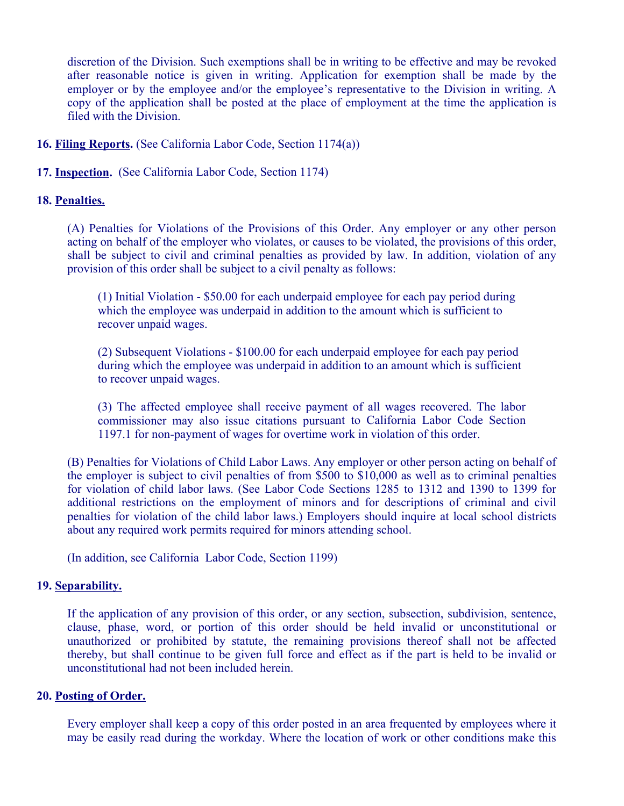discretion of the Division. Such exemptions shall be in writing to be effective and may be revoked after reasonable notice is given in writing. Application for exemption shall be made by the employer or by the employee and/or the employee's representative to the Division in writing. A copy of the application shall be posted at the place of employment at the time the application is filed with the Division.

### **16. Filing Reports.** (See California Labor Code, Section 1174(a))

**17. Inspection.** (See California Labor Code, Section 1174)

#### **18. Penalties.**

(A) Penalties for Violations of the Provisions of this Order. Any employer or any other person acting on behalf of the employer who violates, or causes to be violated, the provisions of this order, shall be subject to civil and criminal penalties as provided by law. In addition, violation of any provision of this order shall be subject to a civil penalty as follows:

(1) Initial Violation - \$50.00 for each underpaid employee for each pay period during which the employee was underpaid in addition to the amount which is sufficient to recover unpaid wages.

(2) Subsequent Violations - \$100.00 for each underpaid employee for each pay period during which the employee was underpaid in addition to an amount which is sufficient to recover unpaid wages.

(3) The affected employee shall receive payment of all wages recovered. The labor commissioner may also issue citations pursuant to California Labor Code Section 1197.1 for non-payment of wages for overtime work in violation of this order.

(B) Penalties for Violations of Child Labor Laws. Any employer or other person acting on behalf of the employer is subject to civil penalties of from \$500 to \$10,000 as well as to criminal penalties for violation of child labor laws. (See Labor Code Sections 1285 to 1312 and 1390 to 1399 for additional restrictions on the employment of minors and for descriptions of criminal and civil penalties for violation of the child labor laws.) Employers should inquire at local school districts about any required work permits required for minors attending school.

(In addition, see California Labor Code, Section 1199)

#### **19. Separability.**

If the application of any provision of this order, or any section, subsection, subdivision, sentence, clause, phase, word, or portion of this order should be held invalid or unconstitutional or unauthorized or prohibited by statute, the remaining provisions thereof shall not be affected thereby, but shall continue to be given full force and effect as if the part is held to be invalid or unconstitutional had not been included herein.

#### **20. Posting of Order.**

Every employer shall keep a copy of this order posted in an area frequented by employees where it may be easily read during the workday. Where the location of work or other conditions make this